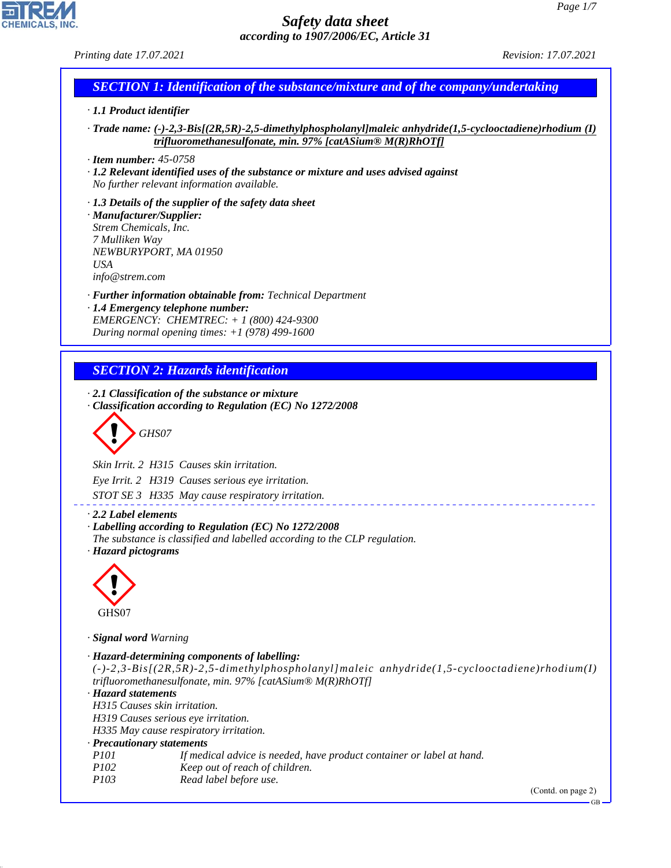GB

# *Safety data sheet according to 1907/2006/EC, Article 31*

*Printing date 17.07.2021 Revision: 17.07.2021*

# *SECTION 1: Identification of the substance/mixture and of the company/undertaking*

# *· 1.1 Product identifier*

*· Trade name: (-)-2,3-Bis[(2R,5R)-2,5-dimethylphospholanyl]maleic anhydride(1,5-cyclooctadiene)rhodium (I) trifluoromethanesulfonate, min. 97% [catASium® M(R)RhOTf]*

*· Item number: 45-0758*

*· 1.2 Relevant identified uses of the substance or mixture and uses advised against No further relevant information available.*

*· 1.3 Details of the supplier of the safety data sheet · Manufacturer/Supplier: Strem Chemicals, Inc. 7 Mulliken Way NEWBURYPORT, MA 01950 USA info@strem.com*

*· Further information obtainable from: Technical Department · 1.4 Emergency telephone number: EMERGENCY: CHEMTREC: + 1 (800) 424-9300*

*During normal opening times: +1 (978) 499-1600*

# *SECTION 2: Hazards identification*

*· 2.1 Classification of the substance or mixture · Classification according to Regulation (EC) No 1272/2008*

d~*GHS07*

*Skin Irrit. 2 H315 Causes skin irritation.*

*Eye Irrit. 2 H319 Causes serious eye irritation.*

*STOT SE 3 H335 May cause respiratory irritation.*

*· 2.2 Label elements*

*· Labelling according to Regulation (EC) No 1272/2008*

*The substance is classified and labelled according to the CLP regulation. · Hazard pictograms*



44.1.1

*· Signal word Warning*

*· Hazard-determining components of labelling: (-)-2,3-Bis[(2R,5R)-2,5-dimethylphospholanyl]maleic anhydride(1,5-cyclooctadiene)rhodium(I) trifluoromethanesulfonate, min. 97% [catASium® M(R)RhOTf] · Hazard statements H315 Causes skin irritation. H319 Causes serious eye irritation. H335 May cause respiratory irritation. · Precautionary statements P101 If medical advice is needed, have product container or label at hand. P102 Keep out of reach of children. P103 Read label before use.* (Contd. on page 2)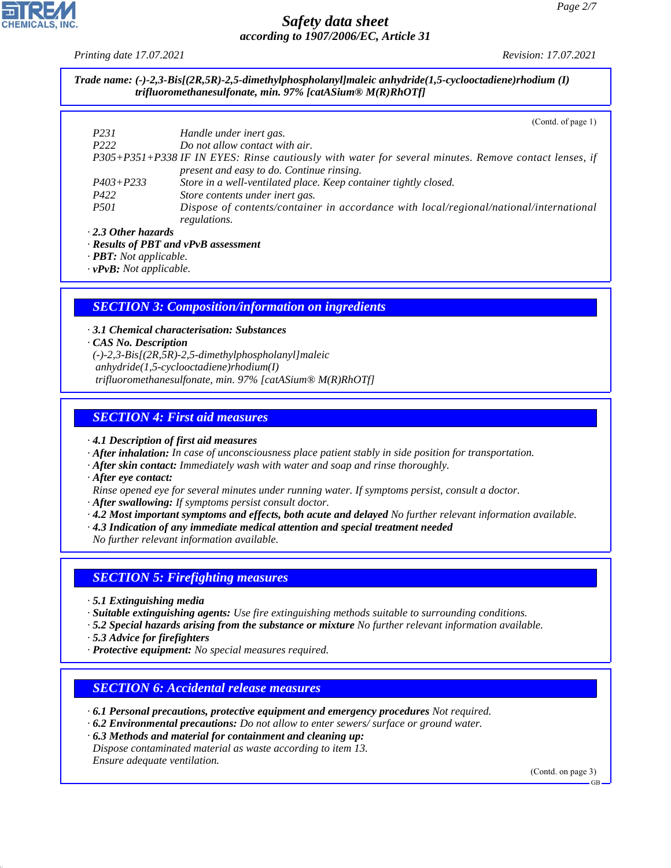*Printing date 17.07.2021 Revision: 17.07.2021*

*Trade name: (-)-2,3-Bis[(2R,5R)-2,5-dimethylphospholanyl]maleic anhydride(1,5-cyclooctadiene)rhodium (I) trifluoromethanesulfonate, min. 97% [catASium® M(R)RhOTf]*

(Contd. of page 1)

|                           | $\text{Cohu}$ , or page 17                                                                            |
|---------------------------|-------------------------------------------------------------------------------------------------------|
| P231                      | Handle under inert gas.                                                                               |
| P <sub>222</sub>          | Do not allow contact with air.                                                                        |
|                           | P305+P351+P338 IF IN EYES: Rinse cautiously with water for several minutes. Remove contact lenses, if |
|                           | present and easy to do. Continue rinsing.                                                             |
| $P403 + P233$             | Store in a well-ventilated place. Keep container tightly closed.                                      |
| P422                      | Store contents under inert gas.                                                                       |
| <i>P501</i>               | Dispose of contents/container in accordance with local/regional/national/international                |
|                           | regulations.                                                                                          |
| $\cdot$ 2.3 Other hazards |                                                                                                       |

*· Results of PBT and vPvB assessment*

*· PBT: Not applicable.*

*· vPvB: Not applicable.*

### *SECTION 3: Composition/information on ingredients*

*· 3.1 Chemical characterisation: Substances · CAS No. Description (-)-2,3-Bis[(2R,5R)-2,5-dimethylphospholanyl]maleic anhydride(1,5-cyclooctadiene)rhodium(I) trifluoromethanesulfonate, min. 97% [catASium® M(R)RhOTf]*

### *SECTION 4: First aid measures*

*· 4.1 Description of first aid measures*

*· After inhalation: In case of unconsciousness place patient stably in side position for transportation.*

- *· After skin contact: Immediately wash with water and soap and rinse thoroughly.*
- *· After eye contact:*

*Rinse opened eye for several minutes under running water. If symptoms persist, consult a doctor.*

*· After swallowing: If symptoms persist consult doctor.*

- *· 4.2 Most important symptoms and effects, both acute and delayed No further relevant information available.*
- *· 4.3 Indication of any immediate medical attention and special treatment needed*

*No further relevant information available.*

### *SECTION 5: Firefighting measures*

- *· 5.1 Extinguishing media*
- *· Suitable extinguishing agents: Use fire extinguishing methods suitable to surrounding conditions.*
- *· 5.2 Special hazards arising from the substance or mixture No further relevant information available.*
- *· 5.3 Advice for firefighters*

44.1.1

*· Protective equipment: No special measures required.*

### *SECTION 6: Accidental release measures*

- *· 6.1 Personal precautions, protective equipment and emergency procedures Not required.*
- *· 6.2 Environmental precautions: Do not allow to enter sewers/ surface or ground water.*
- *· 6.3 Methods and material for containment and cleaning up:*

*Dispose contaminated material as waste according to item 13. Ensure adequate ventilation.*

(Contd. on page 3)

GB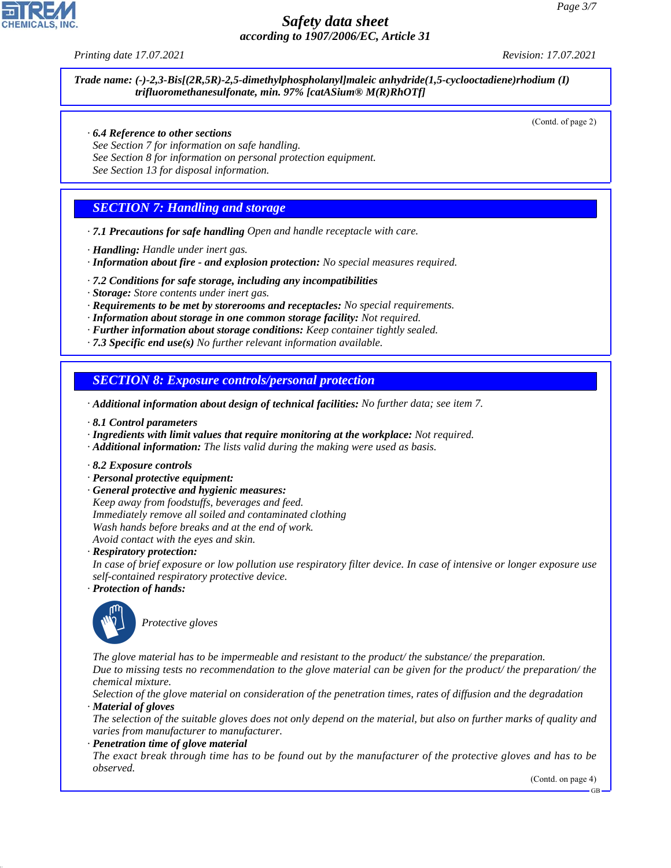*Printing date 17.07.2021 Revision: 17.07.2021*

*Trade name: (-)-2,3-Bis[(2R,5R)-2,5-dimethylphospholanyl]maleic anhydride(1,5-cyclooctadiene)rhodium (I) trifluoromethanesulfonate, min. 97% [catASium® M(R)RhOTf]*

(Contd. of page 2)

- *· 6.4 Reference to other sections*
- *See Section 7 for information on safe handling.*
- *See Section 8 for information on personal protection equipment.*
- *See Section 13 for disposal information.*

#### *SECTION 7: Handling and storage*

- *· 7.1 Precautions for safe handling Open and handle receptacle with care.*
- *· Handling: Handle under inert gas.*
- *· Information about fire and explosion protection: No special measures required.*
- *· 7.2 Conditions for safe storage, including any incompatibilities*
- *· Storage: Store contents under inert gas.*
- *· Requirements to be met by storerooms and receptacles: No special requirements.*
- *· Information about storage in one common storage facility: Not required.*
- *· Further information about storage conditions: Keep container tightly sealed.*
- *· 7.3 Specific end use(s) No further relevant information available.*

#### *SECTION 8: Exposure controls/personal protection*

- *· Additional information about design of technical facilities: No further data; see item 7.*
- *· 8.1 Control parameters*
- *· Ingredients with limit values that require monitoring at the workplace: Not required.*
- *· Additional information: The lists valid during the making were used as basis.*
- *· 8.2 Exposure controls*
- *· Personal protective equipment:*
- *· General protective and hygienic measures:*
- *Keep away from foodstuffs, beverages and feed. Immediately remove all soiled and contaminated clothing Wash hands before breaks and at the end of work. Avoid contact with the eyes and skin.*

*· Respiratory protection:*

*In case of brief exposure or low pollution use respiratory filter device. In case of intensive or longer exposure use self-contained respiratory protective device.*

*· Protection of hands:*



44.1.1

\_S*Protective gloves*

*The glove material has to be impermeable and resistant to the product/ the substance/ the preparation.*

*Due to missing tests no recommendation to the glove material can be given for the product/ the preparation/ the chemical mixture.*

*Selection of the glove material on consideration of the penetration times, rates of diffusion and the degradation · Material of gloves*

*The selection of the suitable gloves does not only depend on the material, but also on further marks of quality and varies from manufacturer to manufacturer.*

*· Penetration time of glove material*

*The exact break through time has to be found out by the manufacturer of the protective gloves and has to be observed.*

(Contd. on page 4)

GB

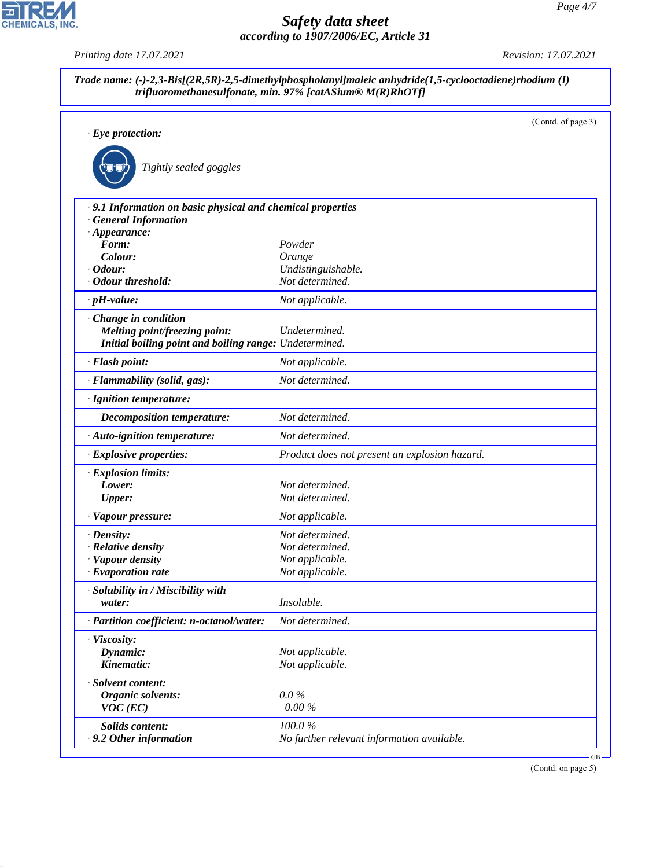*Printing date 17.07.2021 Revision: 17.07.2021*

|                                                             |                                               | (Contd. of page 3) |
|-------------------------------------------------------------|-----------------------------------------------|--------------------|
| $\cdot$ Eye protection:                                     |                                               |                    |
| Tightly sealed goggles                                      |                                               |                    |
|                                                             |                                               |                    |
| · 9.1 Information on basic physical and chemical properties |                                               |                    |
| <b>General Information</b>                                  |                                               |                    |
| $\cdot$ Appearance:<br>Form:                                | Powder                                        |                    |
| Colour:                                                     | Orange                                        |                    |
| $\cdot$ Odour:                                              | Undistinguishable.                            |                    |
| · Odour threshold:                                          | Not determined.                               |                    |
| $\cdot$ pH-value:                                           | Not applicable.                               |                    |
| Change in condition                                         |                                               |                    |
| <b>Melting point/freezing point:</b>                        | Undetermined.                                 |                    |
| Initial boiling point and boiling range: Undetermined.      |                                               |                    |
| · Flash point:                                              | Not applicable.                               |                    |
| · Flammability (solid, gas):                                | Not determined.                               |                    |
| · Ignition temperature:                                     |                                               |                    |
| <b>Decomposition temperature:</b>                           | Not determined.                               |                    |
| · Auto-ignition temperature:                                | Not determined.                               |                    |
| · Explosive properties:                                     | Product does not present an explosion hazard. |                    |
| · Explosion limits:                                         |                                               |                    |
| Lower:                                                      | Not determined.                               |                    |
| <b>Upper:</b>                                               | Not determined.                               |                    |
| · Vapour pressure:                                          | Not applicable.                               |                    |
| $\cdot$ Density:                                            | Not determined.                               |                    |
| · Relative density                                          | Not determined.                               |                    |
| · Vapour density<br>$\cdot$ Evaporation rate                | Not applicable.<br>Not applicable.            |                    |
|                                                             |                                               |                    |
| · Solubility in / Miscibility with<br>water:                | Insoluble.                                    |                    |
| · Partition coefficient: n-octanol/water:                   | Not determined.                               |                    |
| · Viscosity:                                                |                                               |                    |
| Dynamic:                                                    | Not applicable.                               |                    |
| Kinematic:                                                  | Not applicable.                               |                    |
| · Solvent content:                                          |                                               |                    |
| Organic solvents:                                           | $0.0\%$                                       |                    |
| $VOC$ (EC)                                                  | $0.00\,\%$                                    |                    |
| <b>Solids content:</b>                                      | 100.0%                                        |                    |

(Contd. on page 5)



44.1.1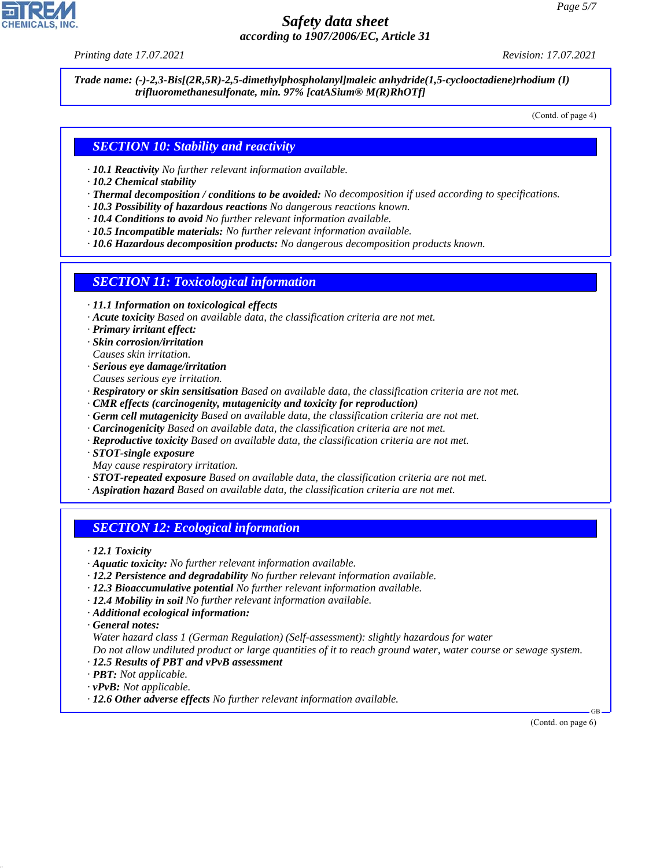*Printing date 17.07.2021 Revision: 17.07.2021*

*Trade name: (-)-2,3-Bis[(2R,5R)-2,5-dimethylphospholanyl]maleic anhydride(1,5-cyclooctadiene)rhodium (I) trifluoromethanesulfonate, min. 97% [catASium® M(R)RhOTf]*

(Contd. of page 4)

#### *SECTION 10: Stability and reactivity*

- *· 10.1 Reactivity No further relevant information available.*
- *· 10.2 Chemical stability*
- *· Thermal decomposition / conditions to be avoided: No decomposition if used according to specifications.*
- *· 10.3 Possibility of hazardous reactions No dangerous reactions known.*
- *· 10.4 Conditions to avoid No further relevant information available.*
- *· 10.5 Incompatible materials: No further relevant information available.*
- *· 10.6 Hazardous decomposition products: No dangerous decomposition products known.*

#### *SECTION 11: Toxicological information*

- *· 11.1 Information on toxicological effects*
- *· Acute toxicity Based on available data, the classification criteria are not met.*
- *· Primary irritant effect:*
- *· Skin corrosion/irritation*
- *Causes skin irritation.*
- *· Serious eye damage/irritation*
- *Causes serious eye irritation.*
- *· Respiratory or skin sensitisation Based on available data, the classification criteria are not met.*
- *· CMR effects (carcinogenity, mutagenicity and toxicity for reproduction)*
- *· Germ cell mutagenicity Based on available data, the classification criteria are not met.*
- *· Carcinogenicity Based on available data, the classification criteria are not met.*
- *· Reproductive toxicity Based on available data, the classification criteria are not met.*
- *· STOT-single exposure*
- *May cause respiratory irritation.*
- *· STOT-repeated exposure Based on available data, the classification criteria are not met.*
- *· Aspiration hazard Based on available data, the classification criteria are not met.*

### *SECTION 12: Ecological information*

*· 12.1 Toxicity*

- *· Aquatic toxicity: No further relevant information available.*
- *· 12.2 Persistence and degradability No further relevant information available.*
- *· 12.3 Bioaccumulative potential No further relevant information available.*
- *· 12.4 Mobility in soil No further relevant information available.*
- *· Additional ecological information:*

*· General notes:*

44.1.1

*Water hazard class 1 (German Regulation) (Self-assessment): slightly hazardous for water*

*Do not allow undiluted product or large quantities of it to reach ground water, water course or sewage system.*

- *· 12.5 Results of PBT and vPvB assessment*
- *· PBT: Not applicable.*
- *· vPvB: Not applicable.*
- *· 12.6 Other adverse effects No further relevant information available.*

 GB (Contd. on page 6)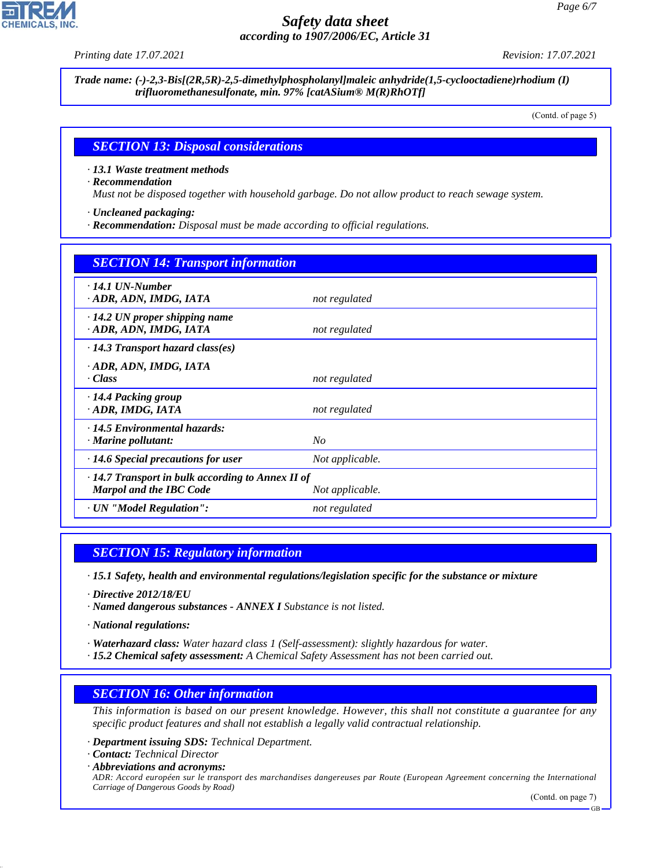*Printing date 17.07.2021 Revision: 17.07.2021*

*Trade name: (-)-2,3-Bis[(2R,5R)-2,5-dimethylphospholanyl]maleic anhydride(1,5-cyclooctadiene)rhodium (I) trifluoromethanesulfonate, min. 97% [catASium® M(R)RhOTf]*

(Contd. of page 5)

#### *SECTION 13: Disposal considerations*

*· 13.1 Waste treatment methods*

*· Recommendation*

*Must not be disposed together with household garbage. Do not allow product to reach sewage system.*

*· Uncleaned packaging:*

*· Recommendation: Disposal must be made according to official regulations.*

| <b>SECTION 14: Transport information</b>                                                                     |                 |  |  |
|--------------------------------------------------------------------------------------------------------------|-----------------|--|--|
| $\cdot$ 14.1 UN-Number<br>· ADR, ADN, IMDG, IATA                                                             | not regulated   |  |  |
| $\cdot$ 14.2 UN proper shipping name<br>· ADR, ADN, IMDG, IATA                                               | not regulated   |  |  |
| $\cdot$ 14.3 Transport hazard class(es)                                                                      |                 |  |  |
| · ADR, ADN, IMDG, IATA<br>· Class                                                                            | not regulated   |  |  |
| $\cdot$ 14.4 Packing group<br>· ADR, IMDG, IATA                                                              | not regulated   |  |  |
| $\cdot$ 14.5 Environmental hazards:<br>$\cdot$ Marine pollutant:                                             | No              |  |  |
| $\cdot$ 14.6 Special precautions for user                                                                    | Not applicable. |  |  |
| $\cdot$ 14.7 Transport in bulk according to Annex II of<br><b>Marpol and the IBC Code</b><br>Not applicable. |                 |  |  |
| · UN "Model Regulation":                                                                                     | not regulated   |  |  |

#### *SECTION 15: Regulatory information*

*· 15.1 Safety, health and environmental regulations/legislation specific for the substance or mixture*

*· Directive 2012/18/EU*

*· Named dangerous substances - ANNEX I Substance is not listed.*

*· National regulations:*

*· Waterhazard class: Water hazard class 1 (Self-assessment): slightly hazardous for water.*

*· 15.2 Chemical safety assessment: A Chemical Safety Assessment has not been carried out.*

#### *SECTION 16: Other information*

*This information is based on our present knowledge. However, this shall not constitute a guarantee for any specific product features and shall not establish a legally valid contractual relationship.*

*· Department issuing SDS: Technical Department.*

*· Contact: Technical Director*

44.1.1

*· Abbreviations and acronyms: ADR: Accord européen sur le transport des marchandises dangereuses par Route (European Agreement concerning the International Carriage of Dangerous Goods by Road)*

(Contd. on page 7)

GB